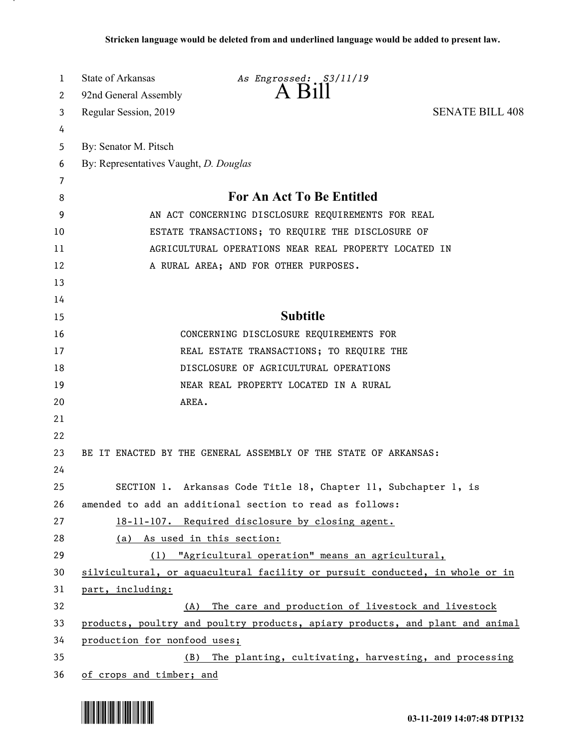| 1  | State of Arkansas                                                             | As Engrossed: S3/11/19                                                       |                        |
|----|-------------------------------------------------------------------------------|------------------------------------------------------------------------------|------------------------|
| 2  | 92nd General Assembly                                                         | $A$ Bill                                                                     |                        |
| 3  | Regular Session, 2019                                                         |                                                                              | <b>SENATE BILL 408</b> |
| 4  |                                                                               |                                                                              |                        |
| 5  | By: Senator M. Pitsch                                                         |                                                                              |                        |
| 6  | By: Representatives Vaught, D. Douglas                                        |                                                                              |                        |
| 7  |                                                                               |                                                                              |                        |
| 8  | For An Act To Be Entitled                                                     |                                                                              |                        |
| 9  | AN ACT CONCERNING DISCLOSURE REQUIREMENTS FOR REAL                            |                                                                              |                        |
| 10 | ESTATE TRANSACTIONS; TO REQUIRE THE DISCLOSURE OF                             |                                                                              |                        |
| 11 | AGRICULTURAL OPERATIONS NEAR REAL PROPERTY LOCATED IN                         |                                                                              |                        |
| 12 | A RURAL AREA; AND FOR OTHER PURPOSES.                                         |                                                                              |                        |
| 13 |                                                                               |                                                                              |                        |
| 14 |                                                                               |                                                                              |                        |
| 15 |                                                                               | <b>Subtitle</b>                                                              |                        |
| 16 |                                                                               | CONCERNING DISCLOSURE REQUIREMENTS FOR                                       |                        |
| 17 | REAL ESTATE TRANSACTIONS; TO REQUIRE THE                                      |                                                                              |                        |
| 18 |                                                                               | DISCLOSURE OF AGRICULTURAL OPERATIONS                                        |                        |
| 19 |                                                                               | NEAR REAL PROPERTY LOCATED IN A RURAL                                        |                        |
| 20 | AREA.                                                                         |                                                                              |                        |
| 21 |                                                                               |                                                                              |                        |
| 22 |                                                                               |                                                                              |                        |
| 23 |                                                                               | BE IT ENACTED BY THE GENERAL ASSEMBLY OF THE STATE OF ARKANSAS:              |                        |
| 24 |                                                                               |                                                                              |                        |
| 25 |                                                                               | SECTION 1. Arkansas Code Title 18, Chapter 11, Subchapter 1, is              |                        |
| 26 | amended to add an additional section to read as follows:                      |                                                                              |                        |
| 27 |                                                                               | 18-11-107. Required disclosure by closing agent.                             |                        |
| 28 | (a) As used in this section:                                                  |                                                                              |                        |
| 29 |                                                                               | (1) "Agricultural operation" means an agricultural,                          |                        |
| 30 |                                                                               | silvicultural, or aquacultural facility or pursuit conducted, in whole or in |                        |
| 31 | part, including:                                                              |                                                                              |                        |
| 32 | (A)                                                                           | The care and production of livestock and livestock                           |                        |
| 33 | products, poultry and poultry products, apiary products, and plant and animal |                                                                              |                        |
| 34 | production for nonfood uses;                                                  |                                                                              |                        |
| 35 | The planting, cultivating, harvesting, and processing<br>(B)                  |                                                                              |                        |
| 36 | of crops and timber; and                                                      |                                                                              |                        |